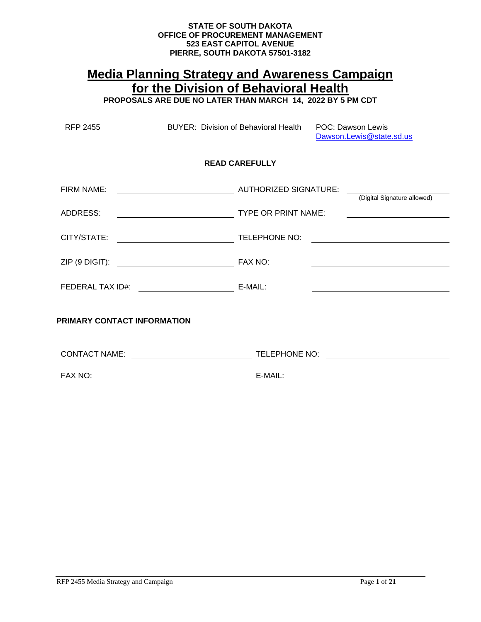# **STATE OF SOUTH DAKOTA OFFICE OF PROCUREMENT MANAGEMENT 523 EAST CAPITOL AVENUE PIERRE, SOUTH DAKOTA 57501-3182**

# **Media Planning Strategy and Awareness Campaign for the Division of Behavioral Health PROPOSALS ARE DUE NO LATER THAN MARCH 14, 2022 BY 5 PM CDT**

| <b>RFP 2455</b> |                                    | BUYER: Division of Behavioral Health | <b>POC: Dawson Lewis</b><br>Dawson.Lewis@state.sd.us                                                                   |
|-----------------|------------------------------------|--------------------------------------|------------------------------------------------------------------------------------------------------------------------|
|                 |                                    | <b>READ CAREFULLY</b>                |                                                                                                                        |
| FIRM NAME:      | AUTHORIZED SIGNATURE:              |                                      | (Digital Signature allowed)                                                                                            |
| ADDRESS:        | TYPE OR PRINT NAME:                |                                      | <u> 1989 - Johann Stoff, deutscher Stoffen und der Stoffen und der Stoffen und der Stoffen und der Stoffen und der</u> |
|                 |                                    |                                      | <u> 1989 - Johann Stoff, fransk kongresu</u>                                                                           |
|                 |                                    |                                      |                                                                                                                        |
|                 |                                    |                                      |                                                                                                                        |
|                 | <b>PRIMARY CONTACT INFORMATION</b> |                                      |                                                                                                                        |
|                 |                                    |                                      |                                                                                                                        |
| FAX NO:         |                                    |                                      |                                                                                                                        |
|                 |                                    |                                      |                                                                                                                        |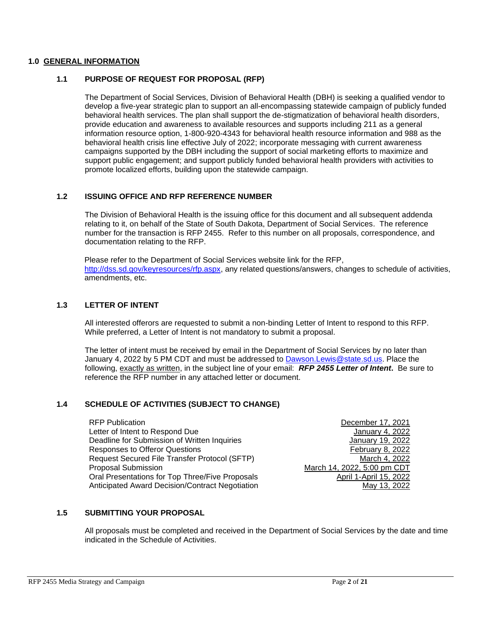## **1.0 GENERAL INFORMATION**

## **1.1 PURPOSE OF REQUEST FOR PROPOSAL (RFP)**

The Department of Social Services, Division of Behavioral Health (DBH) is seeking a qualified vendor to develop a five-year strategic plan to support an all-encompassing statewide campaign of publicly funded behavioral health services. The plan shall support the de-stigmatization of behavioral health disorders, provide education and awareness to available resources and supports including 211 as a general information resource option, 1-800-920-4343 for behavioral health resource information and 988 as the behavioral health crisis line effective July of 2022; incorporate messaging with current awareness campaigns supported by the DBH including the support of social marketing efforts to maximize and support public engagement; and support publicly funded behavioral health providers with activities to promote localized efforts, building upon the statewide campaign.

# **1.2 ISSUING OFFICE AND RFP REFERENCE NUMBER**

The Division of Behavioral Health is the issuing office for this document and all subsequent addenda relating to it, on behalf of the State of South Dakota, Department of Social Services. The reference number for the transaction is RFP 2455. Refer to this number on all proposals, correspondence, and documentation relating to the RFP.

Please refer to the Department of Social Services website link for the RFP, [http://dss.sd.gov/keyresources/rfp.aspx,](http://dss.sd.gov/keyresources/rfp.aspx) any related questions/answers, changes to schedule of activities, amendments, etc.

## **1.3 LETTER OF INTENT**

All interested offerors are requested to submit a non-binding Letter of Intent to respond to this RFP. While preferred, a Letter of Intent is not mandatory to submit a proposal.

The letter of intent must be received by email in the Department of Social Services by no later than January 4, 2022 by 5 PM CDT and must be addressed to [Dawson.Lewis@state.sd.us.](mailto:Dawson.Lewis@state.sd.us) Place the following, exactly as written, in the subject line of your email: *RFP 2455 Letter of Intent***.** Be sure to reference the RFP number in any attached letter or document.

# **1.4 SCHEDULE OF ACTIVITIES (SUBJECT TO CHANGE)**

RFP Publication December 17, 2021 Letter of Intent to Respond Due **Server and Server and Server All 2008** January 4, 2022 Deadline for Submission of Written Inquiries January 19, 2022 Responses to Offeror Questions February 8, 2022 Request Secured File Transfer Protocol (SFTP)<br>Proposal Submission March 14, 2022, 5:00 pm CDT Oral Presentations for Top Three/Five Proposals April 1-April 15, 2022 Anticipated Award Decision/Contract Negotiation May 13, 2022

March 14, 2022, 5:00 pm CDT

# **1.5 SUBMITTING YOUR PROPOSAL**

All proposals must be completed and received in the Department of Social Services by the date and time indicated in the Schedule of Activities.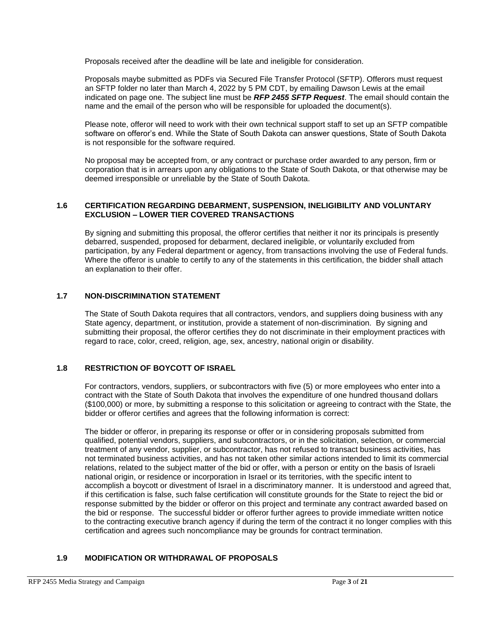Proposals received after the deadline will be late and ineligible for consideration.

Proposals maybe submitted as PDFs via Secured File Transfer Protocol (SFTP). Offerors must request an SFTP folder no later than March 4, 2022 by 5 PM CDT, by emailing Dawson Lewis at the email indicated on page one. The subject line must be *RFP 2455 SFTP Request*. The email should contain the name and the email of the person who will be responsible for uploaded the document(s).

Please note, offeror will need to work with their own technical support staff to set up an SFTP compatible software on offeror's end. While the State of South Dakota can answer questions, State of South Dakota is not responsible for the software required.

No proposal may be accepted from, or any contract or purchase order awarded to any person, firm or corporation that is in arrears upon any obligations to the State of South Dakota, or that otherwise may be deemed irresponsible or unreliable by the State of South Dakota.

## **1.6 CERTIFICATION REGARDING DEBARMENT, SUSPENSION, INELIGIBILITY AND VOLUNTARY EXCLUSION – LOWER TIER COVERED TRANSACTIONS**

By signing and submitting this proposal, the offeror certifies that neither it nor its principals is presently debarred, suspended, proposed for debarment, declared ineligible, or voluntarily excluded from participation, by any Federal department or agency, from transactions involving the use of Federal funds. Where the offeror is unable to certify to any of the statements in this certification, the bidder shall attach an explanation to their offer.

# **1.7 NON-DISCRIMINATION STATEMENT**

The State of South Dakota requires that all contractors, vendors, and suppliers doing business with any State agency, department, or institution, provide a statement of non-discrimination. By signing and submitting their proposal, the offeror certifies they do not discriminate in their employment practices with regard to race, color, creed, religion, age, sex, ancestry, national origin or disability.

# **1.8 RESTRICTION OF BOYCOTT OF ISRAEL**

For contractors, vendors, suppliers, or subcontractors with five (5) or more employees who enter into a contract with the State of South Dakota that involves the expenditure of one hundred thousand dollars (\$100,000) or more, by submitting a response to this solicitation or agreeing to contract with the State, the bidder or offeror certifies and agrees that the following information is correct:

The bidder or offeror, in preparing its response or offer or in considering proposals submitted from qualified, potential vendors, suppliers, and subcontractors, or in the solicitation, selection, or commercial treatment of any vendor, supplier, or subcontractor, has not refused to transact business activities, has not terminated business activities, and has not taken other similar actions intended to limit its commercial relations, related to the subject matter of the bid or offer, with a person or entity on the basis of Israeli national origin, or residence or incorporation in Israel or its territories, with the specific intent to accomplish a boycott or divestment of Israel in a discriminatory manner. It is understood and agreed that, if this certification is false, such false certification will constitute grounds for the State to reject the bid or response submitted by the bidder or offeror on this project and terminate any contract awarded based on the bid or response. The successful bidder or offeror further agrees to provide immediate written notice to the contracting executive branch agency if during the term of the contract it no longer complies with this certification and agrees such noncompliance may be grounds for contract termination.

# **1.9 MODIFICATION OR WITHDRAWAL OF PROPOSALS**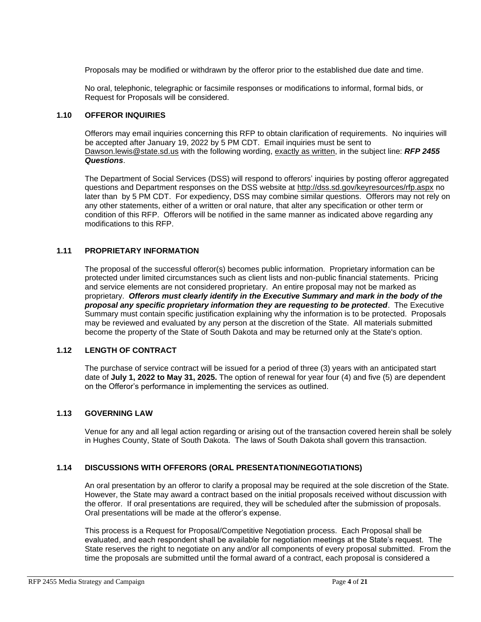Proposals may be modified or withdrawn by the offeror prior to the established due date and time.

No oral, telephonic, telegraphic or facsimile responses or modifications to informal, formal bids, or Request for Proposals will be considered.

## **1.10 OFFEROR INQUIRIES**

Offerors may email inquiries concerning this RFP to obtain clarification of requirements. No inquiries will be accepted after January 19, 2022 by 5 PM CDT. Email inquiries must be sent to [Dawson.lewis@state.sd.us](mailto:Dawson.lewis@state.sd.us) with the following wording, exactly as written, in the subject line: *RFP 2455 Questions*.

The Department of Social Services (DSS) will respond to offerors' inquiries by posting offeror aggregated questions and Department responses on the DSS website at<http://dss.sd.gov/keyresources/rfp.aspx> no later than by 5 PM CDT. For expediency, DSS may combine similar questions. Offerors may not rely on any other statements, either of a written or oral nature, that alter any specification or other term or condition of this RFP. Offerors will be notified in the same manner as indicated above regarding any modifications to this RFP.

# **1.11 PROPRIETARY INFORMATION**

The proposal of the successful offeror(s) becomes public information. Proprietary information can be protected under limited circumstances such as client lists and non-public financial statements. Pricing and service elements are not considered proprietary. An entire proposal may not be marked as proprietary. *Offerors must clearly identify in the Executive Summary and mark in the body of the proposal any specific proprietary information they are requesting to be protected*. The Executive Summary must contain specific justification explaining why the information is to be protected. Proposals may be reviewed and evaluated by any person at the discretion of the State. All materials submitted become the property of the State of South Dakota and may be returned only at the State's option.

# **1.12 LENGTH OF CONTRACT**

The purchase of service contract will be issued for a period of three (3) years with an anticipated start date of **July 1, 2022 to May 31, 2025.** The option of renewal for year four (4) and five (5) are dependent on the Offeror's performance in implementing the services as outlined.

# **1.13 GOVERNING LAW**

Venue for any and all legal action regarding or arising out of the transaction covered herein shall be solely in Hughes County, State of South Dakota. The laws of South Dakota shall govern this transaction.

# **1.14 DISCUSSIONS WITH OFFERORS (ORAL PRESENTATION/NEGOTIATIONS)**

An oral presentation by an offeror to clarify a proposal may be required at the sole discretion of the State. However, the State may award a contract based on the initial proposals received without discussion with the offeror. If oral presentations are required, they will be scheduled after the submission of proposals. Oral presentations will be made at the offeror's expense.

This process is a Request for Proposal/Competitive Negotiation process. Each Proposal shall be evaluated, and each respondent shall be available for negotiation meetings at the State's request. The State reserves the right to negotiate on any and/or all components of every proposal submitted. From the time the proposals are submitted until the formal award of a contract, each proposal is considered a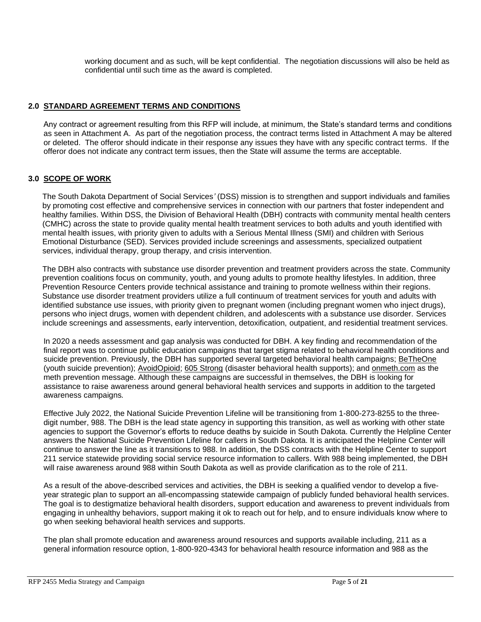working document and as such, will be kept confidential. The negotiation discussions will also be held as confidential until such time as the award is completed.

# **2.0 STANDARD AGREEMENT TERMS AND CONDITIONS**

Any contract or agreement resulting from this RFP will include, at minimum, the State's standard terms and conditions as seen in Attachment A. As part of the negotiation process, the contract terms listed in Attachment A may be altered or deleted. The offeror should indicate in their response any issues they have with any specific contract terms. If the offeror does not indicate any contract term issues, then the State will assume the terms are acceptable.

# **3.0 SCOPE OF WORK**

The South Dakota Department of Social Services*'* (DSS) mission is to strengthen and support individuals and families by promoting cost effective and comprehensive services in connection with our partners that foster independent and healthy families. Within DSS, the Division of Behavioral Health (DBH) contracts with community mental health centers (CMHC) across the state to provide quality mental health treatment services to both adults and youth identified with mental health issues, with priority given to adults with a Serious Mental Illness (SMI) and children with Serious Emotional Disturbance (SED). Services provided include screenings and assessments, specialized outpatient services, individual therapy, group therapy, and crisis intervention.

The DBH also contracts with substance use disorder prevention and treatment providers across the state. Community prevention coalitions focus on community, youth, and young adults to promote healthy lifestyles. In addition, three Prevention Resource Centers provide technical assistance and training to promote wellness within their regions. Substance use disorder treatment providers utilize a full continuum of treatment services for youth and adults with identified substance use issues, with priority given to pregnant women (including pregnant women who inject drugs), persons who inject drugs, women with dependent children, and adolescents with a substance use disorder. Services include screenings and assessments, early intervention, detoxification, outpatient, and residential treatment services.

In 2020 a needs assessment and gap analysis was conducted for DBH. A key finding and recommendation of the final report was to continue public education campaigns that target stigma related to behavioral health conditions and suicide prevention. Previously, the DBH has supported several targeted behavioral health campaigns; [BeTheOne](https://sdsuicideprevention.org/be-the-1-sd/?utm_source=SDSP-Header&utm_medium=Web&utm_campaign=BeThe1SD) (youth suicide prevention); [AvoidOpioid;](https://www.avoidopioidsd.com/) [605 Strong](https://www.605strong.com/) (disaster behavioral health supports); and [onmeth.com](https://onmeth.com/) as the meth prevention message. Although these campaigns are successful in themselves, the DBH is looking for assistance to raise awareness around general behavioral health services and supports in addition to the targeted awareness campaigns*.*

Effective July 2022, the National Suicide Prevention Lifeline will be transitioning from 1-800-273-8255 to the threedigit number, 988. The DBH is the lead state agency in supporting this transition, as well as working with other state agencies to support the Governor's efforts to reduce deaths by suicide in South Dakota. Currently the Helpline Center answers the National Suicide Prevention Lifeline for callers in South Dakota. It is anticipated the Helpline Center will continue to answer the line as it transitions to 988. In addition, the DSS contracts with the Helpline Center to support 211 service statewide providing social service resource information to callers. With 988 being implemented, the DBH will raise awareness around 988 within South Dakota as well as provide clarification as to the role of 211.

As a result of the above-described services and activities, the DBH is seeking a qualified vendor to develop a fiveyear strategic plan to support an all-encompassing statewide campaign of publicly funded behavioral health services. The goal is to destigmatize behavioral health disorders, support education and awareness to prevent individuals from engaging in unhealthy behaviors, support making it ok to reach out for help, and to ensure individuals know where to go when seeking behavioral health services and supports.

The plan shall promote education and awareness around resources and supports available including, 211 as a general information resource option, 1-800-920-4343 for behavioral health resource information and 988 as the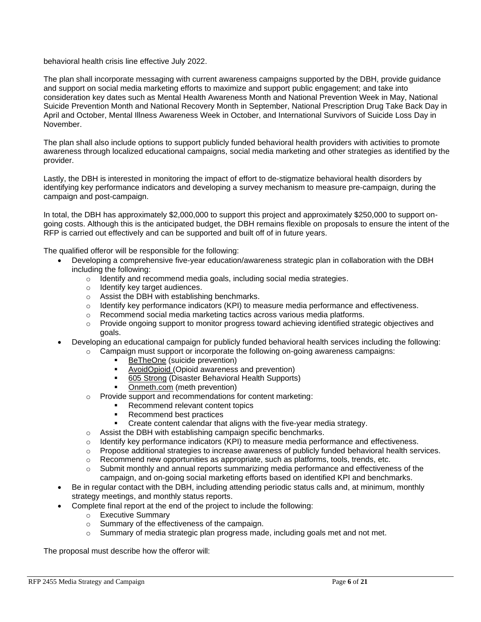behavioral health crisis line effective July 2022.

The plan shall incorporate messaging with current awareness campaigns supported by the DBH, provide guidance and support on social media marketing efforts to maximize and support public engagement; and take into consideration key dates such as Mental Health Awareness Month and National Prevention Week in May, National Suicide Prevention Month and National Recovery Month in September, National Prescription Drug Take Back Day in April and October, Mental Illness Awareness Week in October, and International Survivors of Suicide Loss Day in November.

The plan shall also include options to support publicly funded behavioral health providers with activities to promote awareness through localized educational campaigns, social media marketing and other strategies as identified by the provider.

Lastly, the DBH is interested in monitoring the impact of effort to de-stigmatize behavioral health disorders by identifying key performance indicators and developing a survey mechanism to measure pre-campaign, during the campaign and post-campaign.

In total, the DBH has approximately \$2,000,000 to support this project and approximately \$250,000 to support ongoing costs. Although this is the anticipated budget, the DBH remains flexible on proposals to ensure the intent of the RFP is carried out effectively and can be supported and built off of in future years.

The qualified offeror will be responsible for the following:

- Developing a comprehensive five-year education/awareness strategic plan in collaboration with the DBH including the following:
	- o Identify and recommend media goals, including social media strategies.
	- o Identify key target audiences.
	- o Assist the DBH with establishing benchmarks.
	- o Identify key performance indicators (KPI) to measure media performance and effectiveness.
	- $\circ$  Recommend social media marketing tactics across various media platforms.
	- $\circ$  Provide ongoing support to monitor progress toward achieving identified strategic objectives and goals.

• Developing an educational campaign for publicly funded behavioral health services including the following:

- $\circ$  Campaign must support or incorporate the following on-going awareness campaigns:
	- [BeTheOne](https://sdsuicideprevention.org/be-the-1-sd/?utm_source=SDSP-Header&utm_medium=Web&utm_campaign=BeThe1SD) (suicide prevention)
	- [AvoidOpioid](https://www.avoidopioidsd.com/) (Opioid awareness and prevention)
	- [605 Strong](https://www.605strong.com/) (Disaster Behavioral Health Supports)
	- [Onmeth.com](https://onmeth.com/) (meth prevention)
- o Provide support and recommendations for content marketing:
	- Recommend relevant content topics
	- Recommend best practices
	- Create content calendar that aligns with the five-year media strategy.
- o Assist the DBH with establishing campaign specific benchmarks.
- $\circ$  Identify key performance indicators (KPI) to measure media performance and effectiveness.
- o Propose additional strategies to increase awareness of publicly funded behavioral health services.
- $\circ$  Recommend new opportunities as appropriate, such as platforms, tools, trends, etc.
- $\circ$  Submit monthly and annual reports summarizing media performance and effectiveness of the campaign, and on-going social marketing efforts based on identified KPI and benchmarks.
- Be in regular contact with the DBH, including attending periodic status calls and, at minimum, monthly strategy meetings, and monthly status reports.
- Complete final report at the end of the project to include the following:
	- o Executive Summary
	- o Summary of the effectiveness of the campaign.
	- $\circ$  Summary of media strategic plan progress made, including goals met and not met.

The proposal must describe how the offeror will: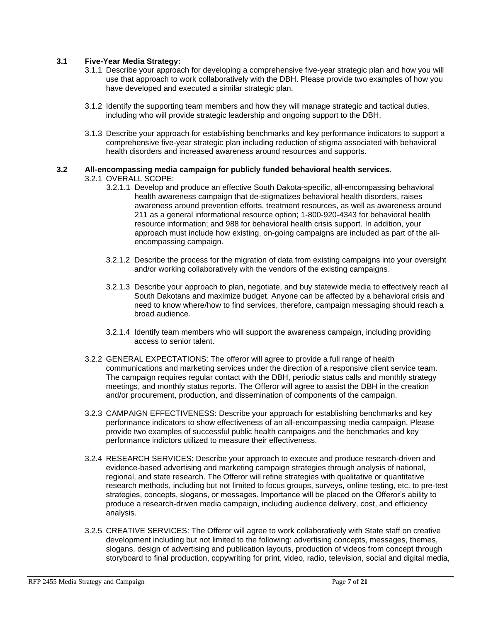# **3.1 Five-Year Media Strategy:**

- 3.1.1 Describe your approach for developing a comprehensive five-year strategic plan and how you will use that approach to work collaboratively with the DBH. Please provide two examples of how you have developed and executed a similar strategic plan.
- 3.1.2 Identify the supporting team members and how they will manage strategic and tactical duties, including who will provide strategic leadership and ongoing support to the DBH.
- 3.1.3 Describe your approach for establishing benchmarks and key performance indicators to support a comprehensive five-year strategic plan including reduction of stigma associated with behavioral health disorders and increased awareness around resources and supports.

# **3.2 All-encompassing media campaign for publicly funded behavioral health services.**

## 3.2.1 OVERALL SCOPE:

- 3.2.1.1 Develop and produce an effective South Dakota-specific, all-encompassing behavioral health awareness campaign that de-stigmatizes behavioral health disorders, raises awareness around prevention efforts, treatment resources, as well as awareness around 211 as a general informational resource option; 1-800-920-4343 for behavioral health resource information; and 988 for behavioral health crisis support. In addition, your approach must include how existing, on-going campaigns are included as part of the allencompassing campaign.
- 3.2.1.2 Describe the process for the migration of data from existing campaigns into your oversight and/or working collaboratively with the vendors of the existing campaigns.
- 3.2.1.3 Describe your approach to plan, negotiate, and buy statewide media to effectively reach all South Dakotans and maximize budget. Anyone can be affected by a behavioral crisis and need to know where/how to find services, therefore, campaign messaging should reach a broad audience.
- 3.2.1.4 Identify team members who will support the awareness campaign, including providing access to senior talent.
- 3.2.2 GENERAL EXPECTATIONS: The offeror will agree to provide a full range of health communications and marketing services under the direction of a responsive client service team. The campaign requires regular contact with the DBH, periodic status calls and monthly strategy meetings, and monthly status reports. The Offeror will agree to assist the DBH in the creation and/or procurement, production, and dissemination of components of the campaign.
- 3.2.3 CAMPAIGN EFFECTIVENESS: Describe your approach for establishing benchmarks and key performance indicators to show effectiveness of an all-encompassing media campaign. Please provide two examples of successful public health campaigns and the benchmarks and key performance indictors utilized to measure their effectiveness.
- 3.2.4 RESEARCH SERVICES: Describe your approach to execute and produce research-driven and evidence-based advertising and marketing campaign strategies through analysis of national, regional, and state research. The Offeror will refine strategies with qualitative or quantitative research methods, including but not limited to focus groups, surveys, online testing, etc. to pre-test strategies, concepts, slogans, or messages. Importance will be placed on the Offeror's ability to produce a research-driven media campaign, including audience delivery, cost, and efficiency analysis.
- 3.2.5 CREATIVE SERVICES: The Offeror will agree to work collaboratively with State staff on creative development including but not limited to the following: advertising concepts, messages, themes, slogans, design of advertising and publication layouts, production of videos from concept through storyboard to final production, copywriting for print, video, radio, television, social and digital media,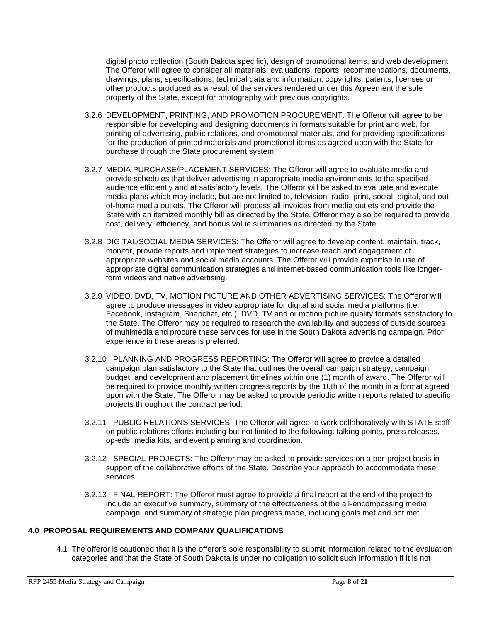digital photo collection (South Dakota specific), design of promotional items, and web development. The Offeror will agree to consider all materials, evaluations, reports, recommendations, documents, drawings, plans, specifications, technical data and information, copyrights, patents, licenses or other products produced as a result of the services rendered under this Agreement the sole property of the State, except for photography with previous copyrights.

- 3.2.6 DEVELOPMENT, PRINTING, AND PROMOTION PROCUREMENT: The Offeror will agree to be responsible for developing and designing documents in formats suitable for print and web, for printing of advertising, public relations, and promotional materials, and for providing specifications for the production of printed materials and promotional items as agreed upon with the State for purchase through the State procurement system.
- 3.2.7 MEDIA PURCHASE/PLACEMENT SERVICES: The Offeror will agree to evaluate media and provide schedules that deliver advertising in appropriate media environments to the specified audience efficiently and at satisfactory levels. The Offeror will be asked to evaluate and execute media plans which may include, but are not limited to, television, radio, print, social, digital, and outof-home media outlets. The Offeror will process all invoices from media outlets and provide the State with an itemized monthly bill as directed by the State. Offeror may also be required to provide cost, delivery, efficiency, and bonus value summaries as directed by the State.
- 3.2.8 DIGITAL/SOCIAL MEDIA SERVICES: The Offeror will agree to develop content, maintain, track, monitor, provide reports and implement strategies to increase reach and engagement of appropriate websites and social media accounts. The Offeror will provide expertise in use of appropriate digital communication strategies and Internet-based communication tools like longerform videos and native advertising.
- 3.2.9 VIDEO, DVD, TV, MOTION PICTURE AND OTHER ADVERTISING SERVICES: The Offeror will agree to produce messages in video appropriate for digital and social media platforms (i.e. Facebook, Instagram, Snapchat, etc.), DVD, TV and or motion picture quality formats satisfactory to the State. The Offeror may be required to research the availability and success of outside sources of multimedia and procure these services for use in the South Dakota advertising campaign. Prior experience in these areas is preferred.
- 3.2.10 PLANNING AND PROGRESS REPORTING: The Offeror will agree to provide a detailed campaign plan satisfactory to the State that outlines the overall campaign strategy; campaign budget; and development and placement timelines within one (1) month of award. The Offeror will be required to provide monthly written progress reports by the 10th of the month in a format agreed upon with the State. The Offeror may be asked to provide periodic written reports related to specific projects throughout the contract period.
- 3.2.11 PUBLIC RELATIONS SERVICES: The Offeror will agree to work collaboratively with STATE staff on public relations efforts including but not limited to the following: talking points, press releases, op-eds, media kits, and event planning and coordination.
- 3.2.12 SPECIAL PROJECTS: The Offeror may be asked to provide services on a per-project basis in support of the collaborative efforts of the State. Describe your approach to accommodate these services.
- 3.2.13 FINAL REPORT: The Offeror must agree to provide a final report at the end of the project to include an executive summary, summary of the effectiveness of the all-encompassing media campaign, and summary of strategic plan progress made, including goals met and not met.

# **4.0 PROPOSAL REQUIREMENTS AND COMPANY QUALIFICATIONS**

4.1 The offeror is cautioned that it is the offeror's sole responsibility to submit information related to the evaluation categories and that the State of South Dakota is under no obligation to solicit such information if it is not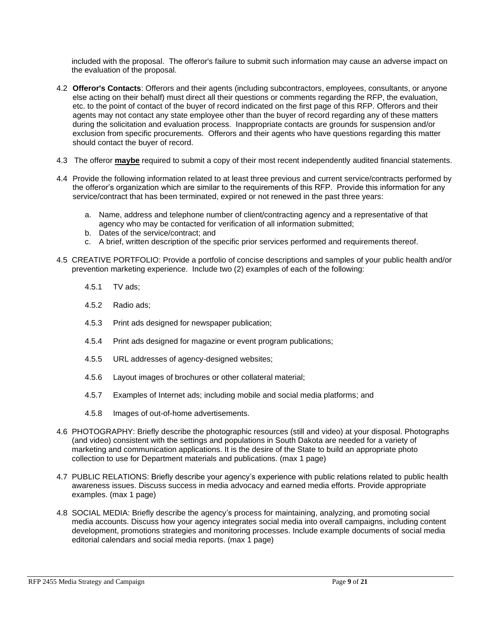included with the proposal. The offeror's failure to submit such information may cause an adverse impact on the evaluation of the proposal.

- 4.2 **Offeror's Contacts**: Offerors and their agents (including subcontractors, employees, consultants, or anyone else acting on their behalf) must direct all their questions or comments regarding the RFP, the evaluation, etc. to the point of contact of the buyer of record indicated on the first page of this RFP. Offerors and their agents may not contact any state employee other than the buyer of record regarding any of these matters during the solicitation and evaluation process. Inappropriate contacts are grounds for suspension and/or exclusion from specific procurements. Offerors and their agents who have questions regarding this matter should contact the buyer of record.
- 4.3 The offeror **maybe** required to submit a copy of their most recent independently audited financial statements.
- 4.4 Provide the following information related to at least three previous and current service/contracts performed by the offeror's organization which are similar to the requirements of this RFP. Provide this information for any service/contract that has been terminated, expired or not renewed in the past three years:
	- a. Name, address and telephone number of client/contracting agency and a representative of that agency who may be contacted for verification of all information submitted;
	- b. Dates of the service/contract; and
	- c. A brief, written description of the specific prior services performed and requirements thereof.
- 4.5 CREATIVE PORTFOLIO: Provide a portfolio of concise descriptions and samples of your public health and/or prevention marketing experience. Include two (2) examples of each of the following:
	- 4.5.1 TV ads;
	- 4.5.2 Radio ads;
	- 4.5.3 Print ads designed for newspaper publication;
	- 4.5.4 Print ads designed for magazine or event program publications;
	- 4.5.5 URL addresses of agency-designed websites;
	- 4.5.6 Layout images of brochures or other collateral material;
	- 4.5.7 Examples of Internet ads; including mobile and social media platforms; and
	- 4.5.8 Images of out-of-home advertisements.
- 4.6 PHOTOGRAPHY: Briefly describe the photographic resources (still and video) at your disposal. Photographs (and video) consistent with the settings and populations in South Dakota are needed for a variety of marketing and communication applications. It is the desire of the State to build an appropriate photo collection to use for Department materials and publications. (max 1 page)
- 4.7 PUBLIC RELATIONS: Briefly describe your agency's experience with public relations related to public health awareness issues. Discuss success in media advocacy and earned media efforts. Provide appropriate examples. (max 1 page)
- 4.8 SOCIAL MEDIA: Briefly describe the agency's process for maintaining, analyzing, and promoting social media accounts. Discuss how your agency integrates social media into overall campaigns, including content development, promotions strategies and monitoring processes. Include example documents of social media editorial calendars and social media reports. (max 1 page)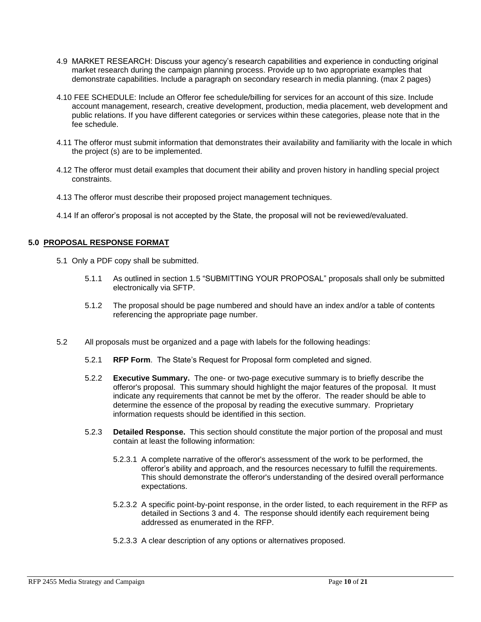- 4.9 MARKET RESEARCH: Discuss your agency's research capabilities and experience in conducting original market research during the campaign planning process. Provide up to two appropriate examples that demonstrate capabilities. Include a paragraph on secondary research in media planning. (max 2 pages)
- 4.10 FEE SCHEDULE: Include an Offeror fee schedule/billing for services for an account of this size. Include account management, research, creative development, production, media placement, web development and public relations. If you have different categories or services within these categories, please note that in the fee schedule.
- 4.11 The offeror must submit information that demonstrates their availability and familiarity with the locale in which the project (s) are to be implemented.
- 4.12 The offeror must detail examples that document their ability and proven history in handling special project constraints.
- 4.13 The offeror must describe their proposed project management techniques.
- 4.14 If an offeror's proposal is not accepted by the State, the proposal will not be reviewed/evaluated.

# **5.0 PROPOSAL RESPONSE FORMAT**

- 5.1 Only a PDF copy shall be submitted.
	- 5.1.1 As outlined in section 1.5 "SUBMITTING YOUR PROPOSAL" proposals shall only be submitted electronically via SFTP.
	- 5.1.2 The proposal should be page numbered and should have an index and/or a table of contents referencing the appropriate page number.
- 5.2 All proposals must be organized and a page with labels for the following headings:
	- 5.2.1 **RFP Form**. The State's Request for Proposal form completed and signed.
	- 5.2.2 **Executive Summary.** The one- or two-page executive summary is to briefly describe the offeror's proposal. This summary should highlight the major features of the proposal. It must indicate any requirements that cannot be met by the offeror. The reader should be able to determine the essence of the proposal by reading the executive summary. Proprietary information requests should be identified in this section.
	- 5.2.3 **Detailed Response.** This section should constitute the major portion of the proposal and must contain at least the following information:
		- 5.2.3.1 A complete narrative of the offeror's assessment of the work to be performed, the offeror's ability and approach, and the resources necessary to fulfill the requirements. This should demonstrate the offeror's understanding of the desired overall performance expectations.
		- 5.2.3.2 A specific point-by-point response, in the order listed, to each requirement in the RFP as detailed in Sections 3 and 4. The response should identify each requirement being addressed as enumerated in the RFP.
		- 5.2.3.3 A clear description of any options or alternatives proposed.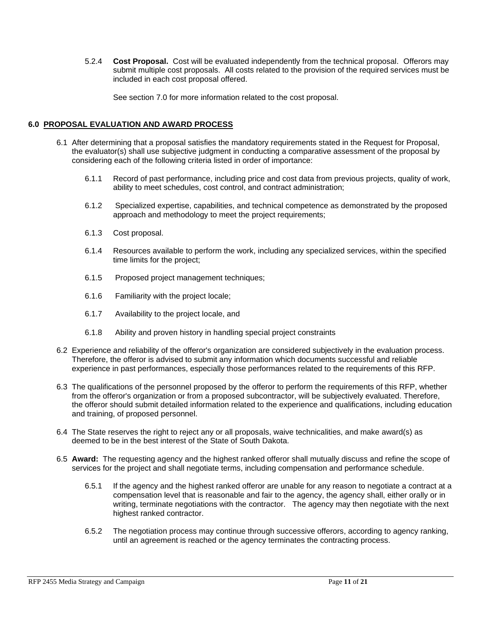5.2.4 **Cost Proposal.** Cost will be evaluated independently from the technical proposal. Offerors may submit multiple cost proposals. All costs related to the provision of the required services must be included in each cost proposal offered.

See section 7.0 for more information related to the cost proposal.

# **6.0 PROPOSAL EVALUATION AND AWARD PROCESS**

- 6.1 After determining that a proposal satisfies the mandatory requirements stated in the Request for Proposal, the evaluator(s) shall use subjective judgment in conducting a comparative assessment of the proposal by considering each of the following criteria listed in order of importance:
	- 6.1.1 Record of past performance, including price and cost data from previous projects, quality of work, ability to meet schedules, cost control, and contract administration;
	- 6.1.2 Specialized expertise, capabilities, and technical competence as demonstrated by the proposed approach and methodology to meet the project requirements;
	- 6.1.3 Cost proposal.
	- 6.1.4 Resources available to perform the work, including any specialized services, within the specified time limits for the project;
	- 6.1.5 Proposed project management techniques;
	- 6.1.6 Familiarity with the project locale;
	- 6.1.7 Availability to the project locale, and
	- 6.1.8 Ability and proven history in handling special project constraints
- 6.2 Experience and reliability of the offeror's organization are considered subjectively in the evaluation process. Therefore, the offeror is advised to submit any information which documents successful and reliable experience in past performances, especially those performances related to the requirements of this RFP.
- 6.3 The qualifications of the personnel proposed by the offeror to perform the requirements of this RFP, whether from the offeror's organization or from a proposed subcontractor, will be subjectively evaluated. Therefore, the offeror should submit detailed information related to the experience and qualifications, including education and training, of proposed personnel.
- 6.4 The State reserves the right to reject any or all proposals, waive technicalities, and make award(s) as deemed to be in the best interest of the State of South Dakota.
- 6.5 **Award:** The requesting agency and the highest ranked offeror shall mutually discuss and refine the scope of services for the project and shall negotiate terms, including compensation and performance schedule.
	- 6.5.1 If the agency and the highest ranked offeror are unable for any reason to negotiate a contract at a compensation level that is reasonable and fair to the agency, the agency shall, either orally or in writing, terminate negotiations with the contractor. The agency may then negotiate with the next highest ranked contractor.
	- 6.5.2 The negotiation process may continue through successive offerors, according to agency ranking, until an agreement is reached or the agency terminates the contracting process.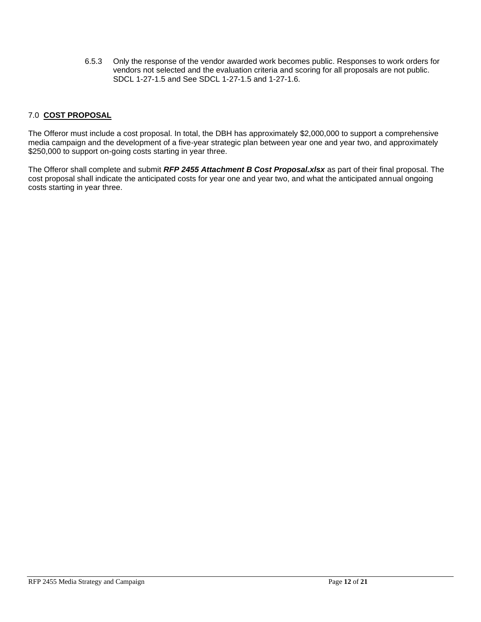6.5.3 Only the response of the vendor awarded work becomes public. Responses to work orders for vendors not selected and the evaluation criteria and scoring for all proposals are not public. SDCL 1-27-1.5 and See SDCL 1-27-1.5 and 1-27-1.6.

# 7.0 **COST PROPOSAL**

The Offeror must include a cost proposal. In total, the DBH has approximately \$2,000,000 to support a comprehensive media campaign and the development of a five-year strategic plan between year one and year two, and approximately \$250,000 to support on-going costs starting in year three.

The Offeror shall complete and submit *RFP 2455 Attachment B Cost Proposal.xlsx* as part of their final proposal. The cost proposal shall indicate the anticipated costs for year one and year two, and what the anticipated annual ongoing costs starting in year three.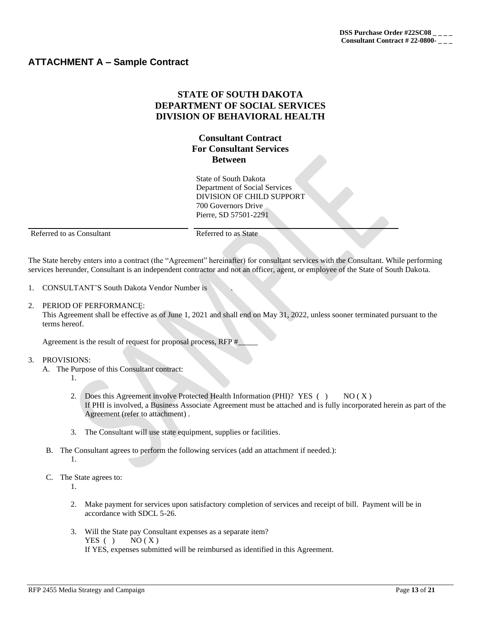# **ATTACHMENT A – Sample Contract**

# **STATE OF SOUTH DAKOTA DEPARTMENT OF SOCIAL SERVICES DIVISION OF BEHAVIORAL HEALTH**

# **Consultant Contract For Consultant Services Between**

State of South Dakota Department of Social Services DIVISION OF CHILD SUPPORT 700 Governors Drive Pierre, SD 57501-2291

Referred to as Consultant Referred to as State

The State hereby enters into a contract (the "Agreement" hereinafter) for consultant services with the Consultant. While performing services hereunder, Consultant is an independent contractor and not an officer, agent, or employee of the State of South Dakota.

- 1. CONSULTANT'S South Dakota Vendor Number is
- 2. PERIOD OF PERFORMANCE:

This Agreement shall be effective as of June 1, 2021 and shall end on May 31, 2022, unless sooner terminated pursuant to the terms hereof.

Agreement is the result of request for proposal process, RFP #

#### 3. PROVISIONS:

- A. The Purpose of this Consultant contract:
	- 1.
	- 2. Does this Agreement involve Protected Health Information (PHI)? YES ( $\angle$ ) NO (X) If PHI is involved, a Business Associate Agreement must be attached and is fully incorporated herein as part of the Agreement (refer to attachment) .
	- 3. The Consultant will use state equipment, supplies or facilities.
- B. The Consultant agrees to perform the following services (add an attachment if needed.):
	- 1.
- C. The State agrees to:
	- 1.
	- 2. Make payment for services upon satisfactory completion of services and receipt of bill. Payment will be in accordance with SDCL 5-26.
	- 3. Will the State pay Consultant expenses as a separate item? YES ( ) NO  $(X)$ If YES, expenses submitted will be reimbursed as identified in this Agreement.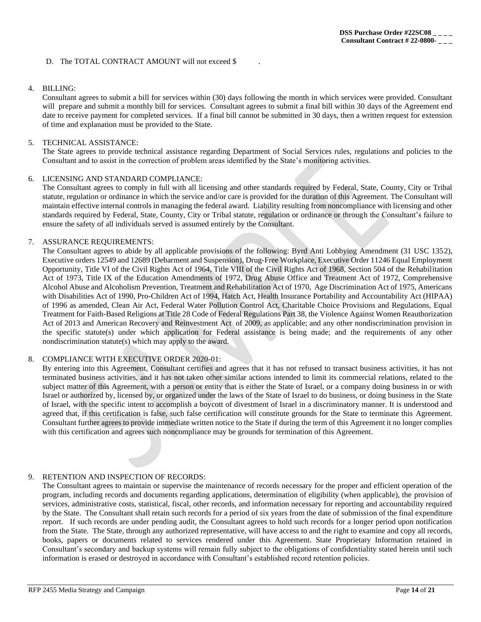#### D. The TOTAL CONTRACT AMOUNT will not exceed \$

## 4. BILLING:

Consultant agrees to submit a bill for services within (30) days following the month in which services were provided. Consultant will prepare and submit a monthly bill for services. Consultant agrees to submit a final bill within 30 days of the Agreement end date to receive payment for completed services. If a final bill cannot be submitted in 30 days, then a written request for extension of time and explanation must be provided to the State.

## 5. TECHNICAL ASSISTANCE:

The State agrees to provide technical assistance regarding Department of Social Services rules, regulations and policies to the Consultant and to assist in the correction of problem areas identified by the State's monitoring activities.

#### 6. LICENSING AND STANDARD COMPLIANCE:

The Consultant agrees to comply in full with all licensing and other standards required by Federal, State, County, City or Tribal statute, regulation or ordinance in which the service and/or care is provided for the duration of this Agreement. The Consultant will maintain effective internal controls in managing the federal award. Liability resulting from noncompliance with licensing and other standards required by Federal, State, County, City or Tribal statute, regulation or ordinance or through the Consultant's failure to ensure the safety of all individuals served is assumed entirely by the Consultant.

## 7. ASSURANCE REQUIREMENTS:

The Consultant agrees to abide by all applicable provisions of the following: Byrd Anti Lobbying Amendment (31 USC 1352), Executive orders 12549 and 12689 (Debarment and Suspension), Drug-Free Workplace, Executive Order 11246 Equal Employment Opportunity, Title VI of the Civil Rights Act of 1964, Title VIII of the Civil Rights Act of 1968, Section 504 of the Rehabilitation Act of 1973, Title IX of the Education Amendments of 1972, Drug Abuse Office and Treatment Act of 1972, Comprehensive Alcohol Abuse and Alcoholism Prevention, Treatment and Rehabilitation Act of 1970, Age Discrimination Act of 1975, Americans with Disabilities Act of 1990, Pro-Children Act of 1994, Hatch Act, Health Insurance Portability and Accountability Act (HIPAA) of 1996 as amended, Clean Air Act, Federal Water Pollution Control Act, Charitable Choice Provisions and Regulations, Equal Treatment for Faith-Based Religions at Title 28 Code of Federal Regulations Part 38, the Violence Against Women Reauthorization Act of 2013 and American Recovery and Reinvestment Act of 2009, as applicable; and any other nondiscrimination provision in the specific statute(s) under which application for Federal assistance is being made; and the requirements of any other nondiscrimination statute(s) which may apply to the award.

## 8. COMPLIANCE WITH EXECUTIVE ORDER 2020-01:

By entering into this Agreement, Consultant certifies and agrees that it has not refused to transact business activities, it has not terminated business activities, and it has not taken other similar actions intended to limit its commercial relations, related to the subject matter of this Agreement, with a person or entity that is either the State of Israel, or a company doing business in or with Israel or authorized by, licensed by, or organized under the laws of the State of Israel to do business, or doing business in the State of Israel, with the specific intent to accomplish a boycott of divestment of Israel in a discriminatory manner. It is understood and agreed that, if this certification is false, such false certification will constitute grounds for the State to terminate this Agreement. Consultant further agrees to provide immediate written notice to the State if during the term of this Agreement it no longer complies with this certification and agrees such noncompliance may be grounds for termination of this Agreement.

## 9. RETENTION AND INSPECTION OF RECORDS:

The Consultant agrees to maintain or supervise the maintenance of records necessary for the proper and efficient operation of the program, including records and documents regarding applications, determination of eligibility (when applicable), the provision of services, administrative costs, statistical, fiscal, other records, and information necessary for reporting and accountability required by the State. The Consultant shall retain such records for a period of six years from the date of submission of the final expenditure report. If such records are under pending audit, the Consultant agrees to hold such records for a longer period upon notification from the State. The State, through any authorized representative, will have access to and the right to examine and copy all records, books, papers or documents related to services rendered under this Agreement. State Proprietary Information retained in Consultant's secondary and backup systems will remain fully subject to the obligations of confidentiality stated herein until such information is erased or destroyed in accordance with Consultant's established record retention policies.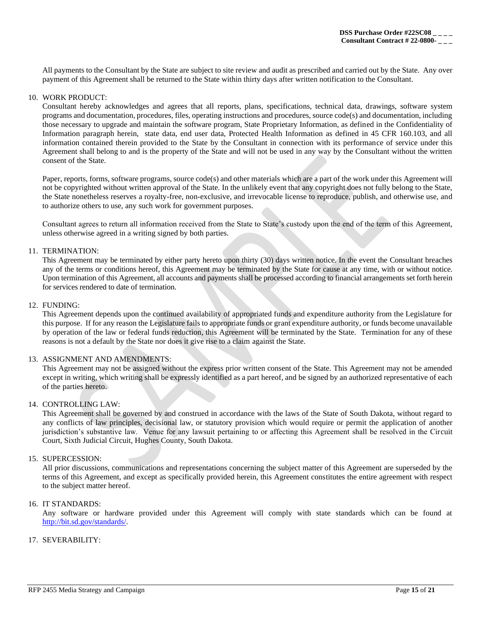All payments to the Consultant by the State are subject to site review and audit as prescribed and carried out by the State. Any over payment of this Agreement shall be returned to the State within thirty days after written notification to the Consultant.

#### 10. WORK PRODUCT:

Consultant hereby acknowledges and agrees that all reports, plans, specifications, technical data, drawings, software system programs and documentation, procedures, files, operating instructions and procedures, source code(s) and documentation, including those necessary to upgrade and maintain the software program, State Proprietary Information, as defined in the Confidentiality of Information paragraph herein, state data, end user data, Protected Health Information as defined in 45 CFR 160.103, and all information contained therein provided to the State by the Consultant in connection with its performance of service under this Agreement shall belong to and is the property of the State and will not be used in any way by the Consultant without the written consent of the State.

Paper, reports, forms, software programs, source code(s) and other materials which are a part of the work under this Agreement will not be copyrighted without written approval of the State. In the unlikely event that any copyright does not fully belong to the State, the State nonetheless reserves a royalty-free, non-exclusive, and irrevocable license to reproduce, publish, and otherwise use, and to authorize others to use, any such work for government purposes.

Consultant agrees to return all information received from the State to State's custody upon the end of the term of this Agreement, unless otherwise agreed in a writing signed by both parties.

#### 11. TERMINATION:

This Agreement may be terminated by either party hereto upon thirty (30) days written notice. In the event the Consultant breaches any of the terms or conditions hereof, this Agreement may be terminated by the State for cause at any time, with or without notice. Upon termination of this Agreement, all accounts and payments shall be processed according to financial arrangements set forth herein for services rendered to date of termination.

#### 12. FUNDING:

This Agreement depends upon the continued availability of appropriated funds and expenditure authority from the Legislature for this purpose. If for any reason the Legislature fails to appropriate funds or grant expenditure authority, or funds become unavailable by operation of the law or federal funds reduction, this Agreement will be terminated by the State. Termination for any of these reasons is not a default by the State nor does it give rise to a claim against the State.

#### 13. ASSIGNMENT AND AMENDMENTS:

This Agreement may not be assigned without the express prior written consent of the State. This Agreement may not be amended except in writing, which writing shall be expressly identified as a part hereof, and be signed by an authorized representative of each of the parties hereto.

#### 14. CONTROLLING LAW:

This Agreement shall be governed by and construed in accordance with the laws of the State of South Dakota, without regard to any conflicts of law principles, decisional law, or statutory provision which would require or permit the application of another jurisdiction's substantive law. Venue for any lawsuit pertaining to or affecting this Agreement shall be resolved in the Circuit Court, Sixth Judicial Circuit, Hughes County, South Dakota.

#### 15. SUPERCESSION:

All prior discussions, communications and representations concerning the subject matter of this Agreement are superseded by the terms of this Agreement, and except as specifically provided herein, this Agreement constitutes the entire agreement with respect to the subject matter hereof.

#### 16. IT STANDARDS:

Any software or hardware provided under this Agreement will comply with state standards which can be found at [http://bit.sd.gov/standards/.](http://bit.sd.gov/standards/)

## 17. SEVERABILITY: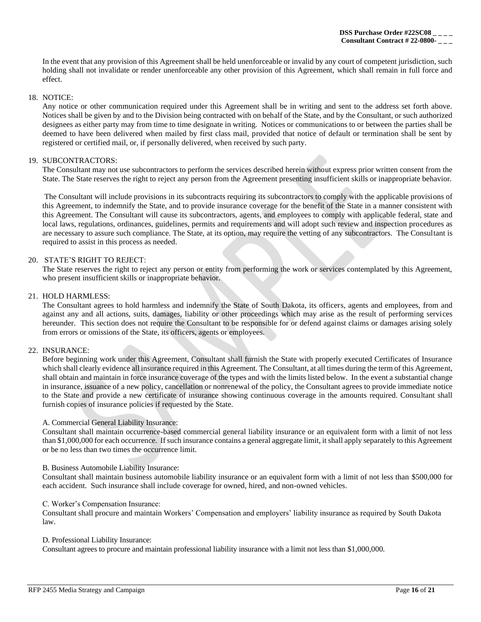In the event that any provision of this Agreement shall be held unenforceable or invalid by any court of competent jurisdiction, such holding shall not invalidate or render unenforceable any other provision of this Agreement, which shall remain in full force and effect.

#### 18. NOTICE:

Any notice or other communication required under this Agreement shall be in writing and sent to the address set forth above. Notices shall be given by and to the Division being contracted with on behalf of the State, and by the Consultant, or such authorized designees as either party may from time to time designate in writing. Notices or communications to or between the parties shall be deemed to have been delivered when mailed by first class mail, provided that notice of default or termination shall be sent by registered or certified mail, or, if personally delivered, when received by such party.

## 19. SUBCONTRACTORS:

The Consultant may not use subcontractors to perform the services described herein without express prior written consent from the State. The State reserves the right to reject any person from the Agreement presenting insufficient skills or inappropriate behavior.

The Consultant will include provisions in its subcontracts requiring its subcontractors to comply with the applicable provisions of this Agreement, to indemnify the State, and to provide insurance coverage for the benefit of the State in a manner consistent with this Agreement. The Consultant will cause its subcontractors, agents, and employees to comply with applicable federal, state and local laws, regulations, ordinances, guidelines, permits and requirements and will adopt such review and inspection procedures as are necessary to assure such compliance. The State, at its option, may require the vetting of any subcontractors. The Consultant is required to assist in this process as needed.

## 20. STATE'S RIGHT TO REJECT:

The State reserves the right to reject any person or entity from performing the work or services contemplated by this Agreement, who present insufficient skills or inappropriate behavior.

## 21. HOLD HARMLESS:

The Consultant agrees to hold harmless and indemnify the State of South Dakota, its officers, agents and employees, from and against any and all actions, suits, damages, liability or other proceedings which may arise as the result of performing services hereunder. This section does not require the Consultant to be responsible for or defend against claims or damages arising solely from errors or omissions of the State, its officers, agents or employees.

## 22. INSURANCE:

Before beginning work under this Agreement, Consultant shall furnish the State with properly executed Certificates of Insurance which shall clearly evidence all insurance required in this Agreement. The Consultant, at all times during the term of this Agreement, shall obtain and maintain in force insurance coverage of the types and with the limits listed below. In the event a substantial change in insurance, issuance of a new policy, cancellation or nonrenewal of the policy, the Consultant agrees to provide immediate notice to the State and provide a new certificate of insurance showing continuous coverage in the amounts required. Consultant shall furnish copies of insurance policies if requested by the State.

#### A. Commercial General Liability Insurance:

Consultant shall maintain occurrence-based commercial general liability insurance or an equivalent form with a limit of not less than \$1,000,000 for each occurrence. If such insurance contains a general aggregate limit, it shall apply separately to this Agreement or be no less than two times the occurrence limit.

#### B. Business Automobile Liability Insurance:

Consultant shall maintain business automobile liability insurance or an equivalent form with a limit of not less than \$500,000 for each accident. Such insurance shall include coverage for owned, hired, and non-owned vehicles.

#### C. Worker's Compensation Insurance:

Consultant shall procure and maintain Workers' Compensation and employers' liability insurance as required by South Dakota law.

#### D. Professional Liability Insurance:

Consultant agrees to procure and maintain professional liability insurance with a limit not less than \$1,000,000.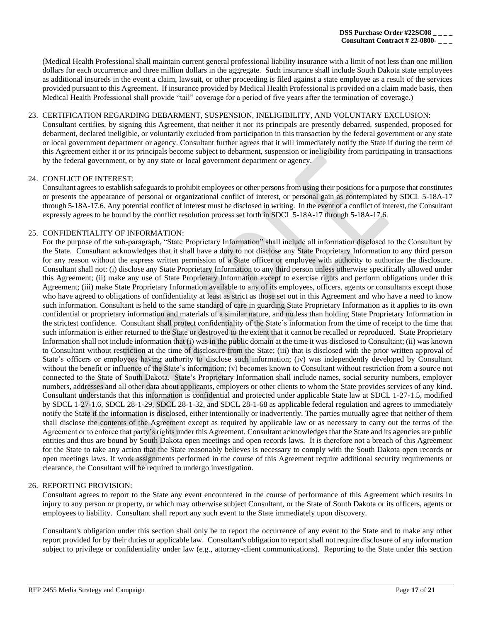(Medical Health Professional shall maintain current general professional liability insurance with a limit of not less than one million dollars for each occurrence and three million dollars in the aggregate. Such insurance shall include South Dakota state employees as additional insureds in the event a claim, lawsuit, or other proceeding is filed against a state employee as a result of the services provided pursuant to this Agreement. If insurance provided by Medical Health Professional is provided on a claim made basis, then Medical Health Professional shall provide "tail" coverage for a period of five years after the termination of coverage.)

## 23. CERTIFICATION REGARDING DEBARMENT, SUSPENSION, INELIGIBILITY, AND VOLUNTARY EXCLUSION:

Consultant certifies, by signing this Agreement, that neither it nor its principals are presently debarred, suspended, proposed for debarment, declared ineligible, or voluntarily excluded from participation in this transaction by the federal government or any state or local government department or agency. Consultant further agrees that it will immediately notify the State if during the term of this Agreement either it or its principals become subject to debarment, suspension or ineligibility from participating in transactions by the federal government, or by any state or local government department or agency.

## 24. CONFLICT OF INTEREST:

Consultant agrees to establish safeguards to prohibit employees or other persons from using their positions for a purpose that constitutes or presents the appearance of personal or organizational conflict of interest, or personal gain as contemplated by SDCL 5-18A-17 through 5-18A-17.6. Any potential conflict of interest must be disclosed in writing. In the event of a conflict of interest, the Consultant expressly agrees to be bound by the conflict resolution process set forth in SDCL 5-18A-17 through 5-18A-17.6.

## 25. CONFIDENTIALITY OF INFORMATION:

For the purpose of the sub-paragraph, "State Proprietary Information" shall include all information disclosed to the Consultant by the State. Consultant acknowledges that it shall have a duty to not disclose any State Proprietary Information to any third person for any reason without the express written permission of a State officer or employee with authority to authorize the disclosure. Consultant shall not: (i) disclose any State Proprietary Information to any third person unless otherwise specifically allowed under this Agreement; (ii) make any use of State Proprietary Information except to exercise rights and perform obligations under this Agreement; (iii) make State Proprietary Information available to any of its employees, officers, agents or consultants except those who have agreed to obligations of confidentiality at least as strict as those set out in this Agreement and who have a need to know such information. Consultant is held to the same standard of care in guarding State Proprietary Information as it applies to its own confidential or proprietary information and materials of a similar nature, and no less than holding State Proprietary Information in the strictest confidence. Consultant shall protect confidentiality of the State's information from the time of receipt to the time that such information is either returned to the State or destroyed to the extent that it cannot be recalled or reproduced. State Proprietary Information shall not include information that (i) was in the public domain at the time it was disclosed to Consultant; (ii) was known to Consultant without restriction at the time of disclosure from the State; (iii) that is disclosed with the prior written approval of State's officers or employees having authority to disclose such information; (iv) was independently developed by Consultant without the benefit or influence of the State's information; (v) becomes known to Consultant without restriction from a source not connected to the State of South Dakota. State's Proprietary Information shall include names, social security numbers, employer numbers, addresses and all other data about applicants, employers or other clients to whom the State provides services of any kind. Consultant understands that this information is confidential and protected under applicable State law at SDCL 1-27-1.5, modified by SDCL 1-27-1.6, SDCL 28-1-29, SDCL 28-1-32, and SDCL 28-1-68 as applicable federal regulation and agrees to immediately notify the State if the information is disclosed, either intentionally or inadvertently. The parties mutually agree that neither of them shall disclose the contents of the Agreement except as required by applicable law or as necessary to carry out the terms of the Agreement or to enforce that party's rights under this Agreement. Consultant acknowledges that the State and its agencies are public entities and thus are bound by South Dakota open meetings and open records laws. It is therefore not a breach of this Agreement for the State to take any action that the State reasonably believes is necessary to comply with the South Dakota open records or open meetings laws. If work assignments performed in the course of this Agreement require additional security requirements or clearance, the Consultant will be required to undergo investigation.

## 26. REPORTING PROVISION:

Consultant agrees to report to the State any event encountered in the course of performance of this Agreement which results in injury to any person or property, or which may otherwise subject Consultant, or the State of South Dakota or its officers, agents or employees to liability. Consultant shall report any such event to the State immediately upon discovery.

Consultant's obligation under this section shall only be to report the occurrence of any event to the State and to make any other report provided for by their duties or applicable law. Consultant's obligation to report shall not require disclosure of any information subject to privilege or confidentiality under law (e.g., attorney-client communications). Reporting to the State under this section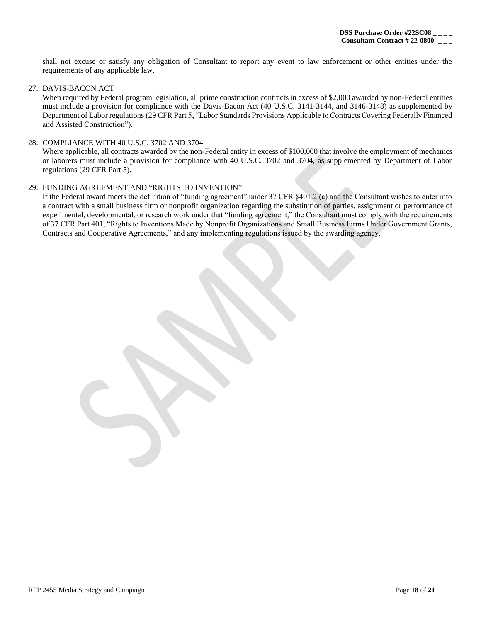shall not excuse or satisfy any obligation of Consultant to report any event to law enforcement or other entities under the requirements of any applicable law.

## 27. DAVIS-BACON ACT

When required by Federal program legislation, all prime construction contracts in excess of \$2,000 awarded by non-Federal entities must include a provision for compliance with the Davis-Bacon Act (40 U.S.C. 3141-3144, and 3146-3148) as supplemented by Department of Labor regulations (29 CFR Part 5, "Labor Standards Provisions Applicable to Contracts Covering Federally Financed and Assisted Construction").

## 28. COMPLIANCE WITH 40 U.S.C. 3702 AND 3704

Where applicable, all contracts awarded by the non-Federal entity in excess of \$100,000 that involve the employment of mechanics or laborers must include a provision for compliance with 40 U.S.C. 3702 and 3704, as supplemented by Department of Labor regulations (29 CFR Part 5).

## 29. FUNDING AGREEMENT AND "RIGHTS TO INVENTION"

If the Federal award meets the definition of "funding agreement" under 37 CFR §401.2 (a) and the Consultant wishes to enter into a contract with a small business firm or nonprofit organization regarding the substitution of parties, assignment or performance of experimental, developmental, or research work under that "funding agreement," the Consultant must comply with the requirements of 37 CFR Part 401, "Rights to Inventions Made by Nonprofit Organizations and Small Business Firms Under Government Grants, Contracts and Cooperative Agreements," and any implementing regulations issued by the awarding agency.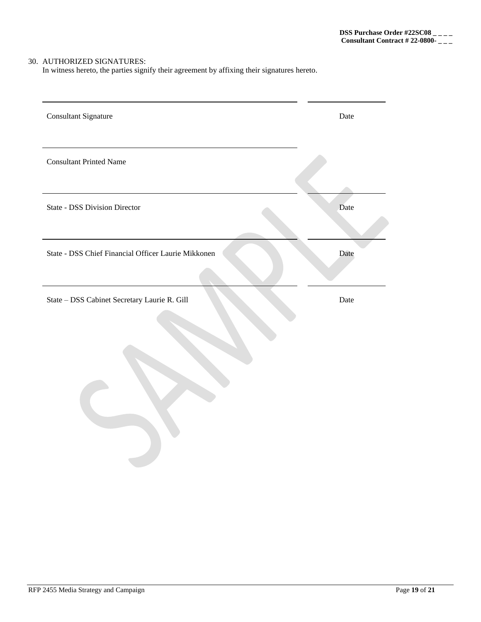# 30. AUTHORIZED SIGNATURES:

In witness hereto, the parties signify their agreement by affixing their signatures hereto.

| <b>Consultant Signature</b>                         | Date |
|-----------------------------------------------------|------|
| <b>Consultant Printed Name</b>                      |      |
| <b>State - DSS Division Director</b>                | Date |
| State - DSS Chief Financial Officer Laurie Mikkonen | Date |
|                                                     |      |
| State - DSS Cabinet Secretary Laurie R. Gill        | Date |
|                                                     |      |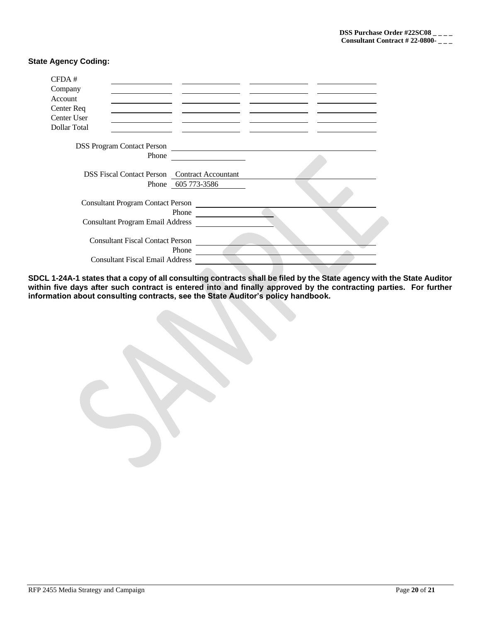## **State Agency Coding:**

| CFDA#        |                                          |                                                      |  |
|--------------|------------------------------------------|------------------------------------------------------|--|
| Company      |                                          |                                                      |  |
| Account      |                                          |                                                      |  |
| Center Req   |                                          |                                                      |  |
| Center User  |                                          |                                                      |  |
| Dollar Total |                                          |                                                      |  |
|              | <b>DSS Program Contact Person</b>        |                                                      |  |
|              | Phone                                    |                                                      |  |
|              |                                          | <b>DSS Fiscal Contact Person</b> Contract Accountant |  |
|              |                                          | Phone 605 773-3586                                   |  |
|              | <b>Consultant Program Contact Person</b> |                                                      |  |
|              | <b>Consultant Program Email Address</b>  | Phone                                                |  |
|              | <b>Consultant Fiscal Contact Person</b>  |                                                      |  |
|              | <b>Consultant Fiscal Email Address</b>   | Phone                                                |  |

**SDCL 1-24A-1 states that a copy of all consulting contracts shall be filed by the State agency with the State Auditor**  within five days after such contract is entered into and finally approved by the contracting parties. For further **information about consulting contracts, see the State Auditor's policy handbook.**